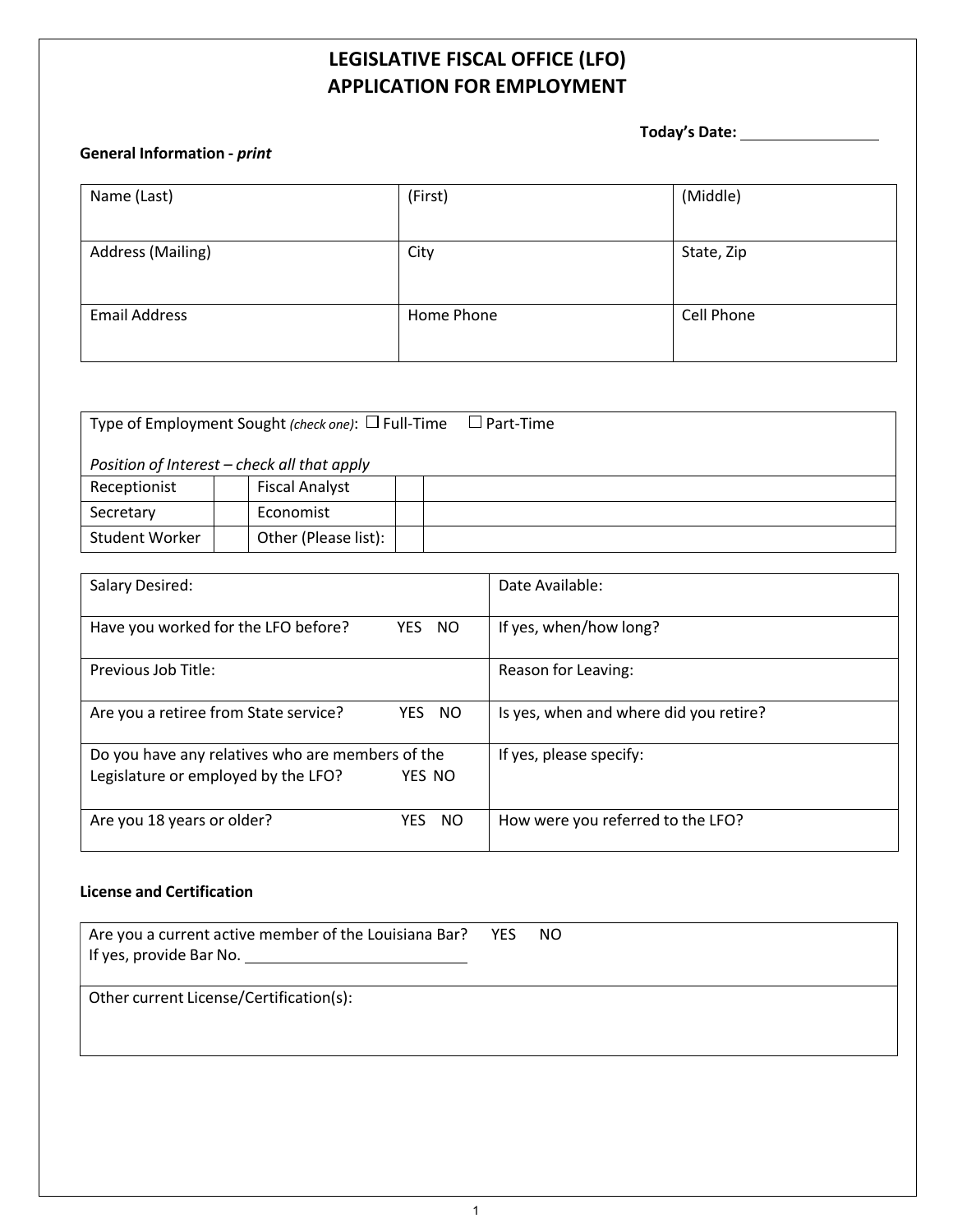# **LEGISLATIVE FISCAL OFFICE (LFO) APPLICATION FOR EMPLOYMENT**

**Today's Date:**

#### **General Information -** *print*

| Name (Last)              | (First)    | (Middle)   |
|--------------------------|------------|------------|
| <b>Address (Mailing)</b> | City       | State, Zip |
| <b>Email Address</b>     | Home Phone | Cell Phone |

| Type of Employment Sought (check one): $\Box$ Full-Time<br>$\square$ Part-Time |                                             |  |  |
|--------------------------------------------------------------------------------|---------------------------------------------|--|--|
|                                                                                | Position of Interest – check all that apply |  |  |
| Receptionist                                                                   | <b>Fiscal Analyst</b>                       |  |  |
| Secretary                                                                      | Economist                                   |  |  |
| Student Worker                                                                 | Other (Please list):                        |  |  |

| Salary Desired:                                  |                   | Date Available:                        |
|--------------------------------------------------|-------------------|----------------------------------------|
| Have you worked for the LFO before?              | YES<br>NO.        | If yes, when/how long?                 |
| Previous Job Title:                              |                   | Reason for Leaving:                    |
| Are you a retiree from State service?            | <b>YES</b><br>NO. | Is yes, when and where did you retire? |
| Do you have any relatives who are members of the |                   | If yes, please specify:                |
| Legislature or employed by the LFO?              | YES NO            |                                        |
| Are you 18 years or older?                       | <b>NO</b><br>YES. | How were you referred to the LFO?      |

#### **License and Certification**

| Are you a current active member of the Louisiana Bar? YES NO<br>If yes, provide Bar No. 100 million control of the U.S. Control of the U.S. Control of the U.S. Control of the |  |
|--------------------------------------------------------------------------------------------------------------------------------------------------------------------------------|--|
| Other current License/Certification(s):                                                                                                                                        |  |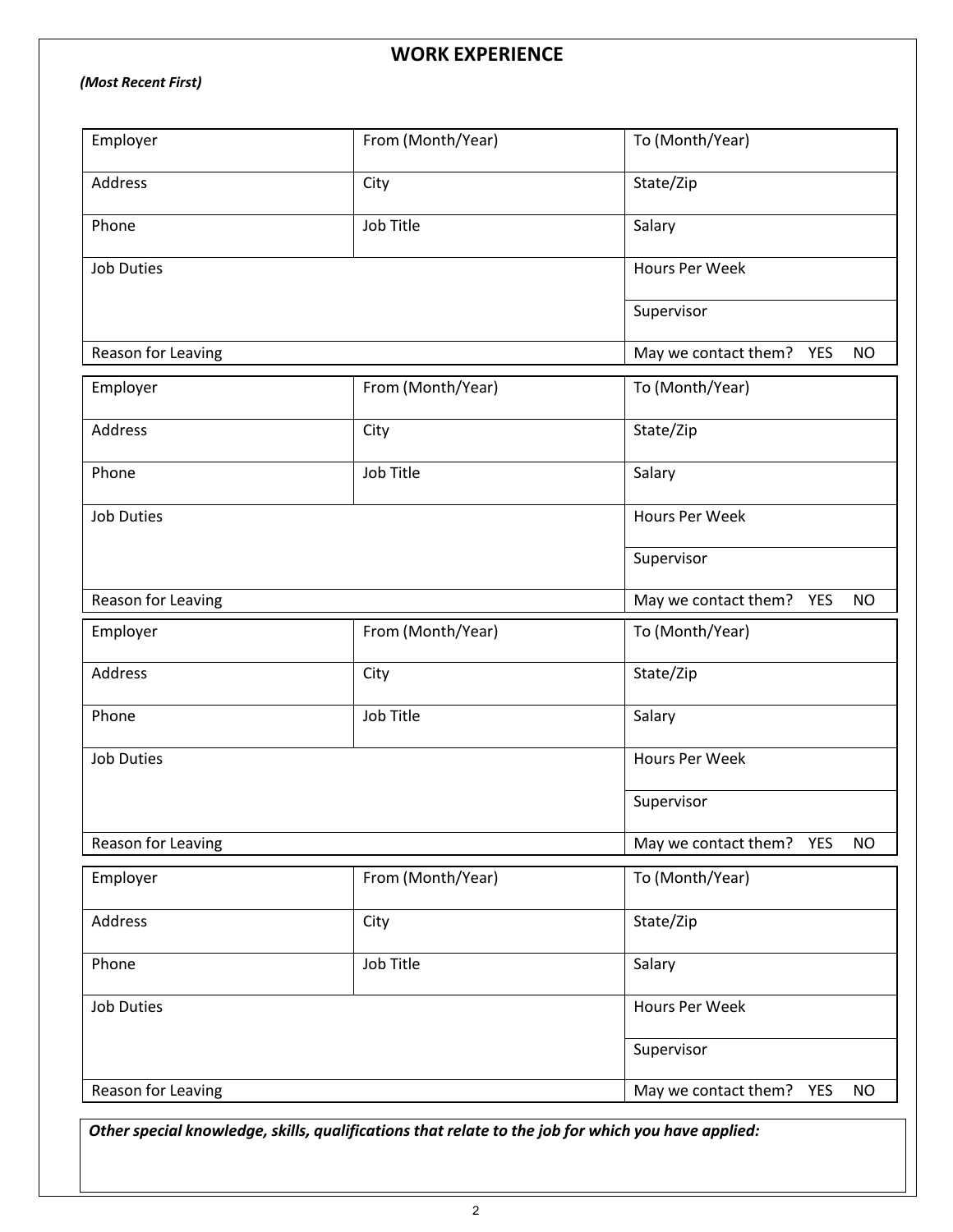## **WORK EXPERIENCE**

### *(Most Recent First)*

| Employer           | From (Month/Year) | To (Month/Year)                          |  |  |  |
|--------------------|-------------------|------------------------------------------|--|--|--|
| Address            | City              | State/Zip                                |  |  |  |
| Phone              | Job Title         | Salary                                   |  |  |  |
| <b>Job Duties</b>  |                   | Hours Per Week                           |  |  |  |
|                    |                   | Supervisor                               |  |  |  |
| Reason for Leaving |                   | May we contact them? YES<br><b>NO</b>    |  |  |  |
| Employer           | From (Month/Year) | To (Month/Year)                          |  |  |  |
| Address            | City              | State/Zip                                |  |  |  |
| Phone              | Job Title         | Salary                                   |  |  |  |
| <b>Job Duties</b>  |                   | Hours Per Week                           |  |  |  |
|                    |                   | Supervisor                               |  |  |  |
| Reason for Leaving |                   | May we contact them? YES<br><b>NO</b>    |  |  |  |
| Employer           | From (Month/Year) | To (Month/Year)                          |  |  |  |
| <b>Address</b>     | City              | State/Zip                                |  |  |  |
| Phone              | Job Title         | Salary                                   |  |  |  |
| <b>Job Duties</b>  |                   | Hours Per Week                           |  |  |  |
|                    |                   | Supervisor                               |  |  |  |
| Reason for Leaving |                   | May we contact them? YES<br><b>NO</b>    |  |  |  |
| Employer           | From (Month/Year) | To (Month/Year)                          |  |  |  |
| Address            | City              | State/Zip                                |  |  |  |
| Phone              | Job Title         | Salary                                   |  |  |  |
| <b>Job Duties</b>  |                   | Hours Per Week                           |  |  |  |
|                    |                   | Supervisor                               |  |  |  |
| Reason for Leaving |                   | YES<br>May we contact them?<br><b>NO</b> |  |  |  |

*Other special knowledge, skills, qualifications that relate to the job for which you have applied:*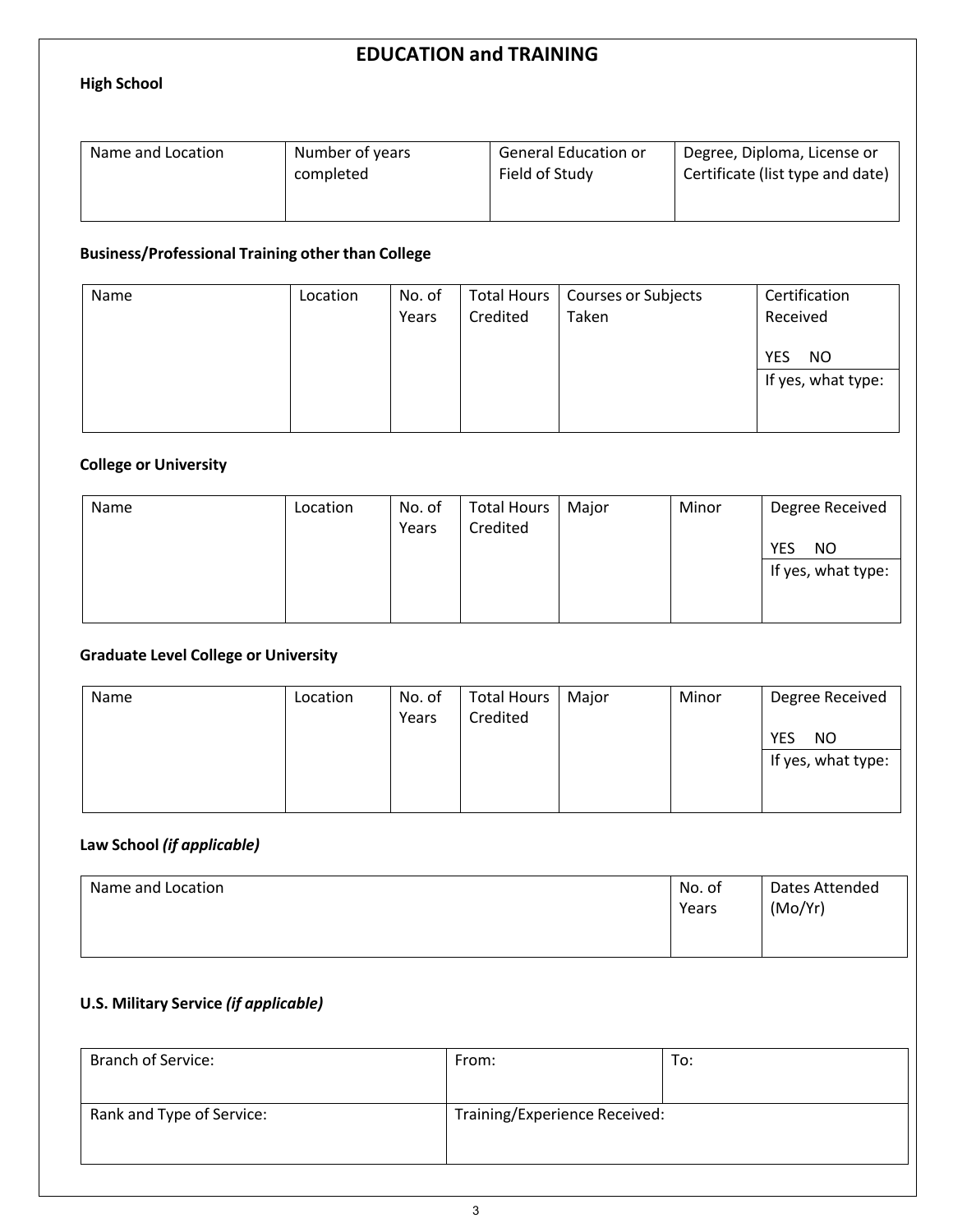## **EDUCATION and TRAINING**

#### **High School**

| Name and Location | Number of years | <b>General Education or</b> | Degree, Diploma, License or      |
|-------------------|-----------------|-----------------------------|----------------------------------|
|                   | completed       | Field of Study              | Certificate (list type and date) |
|                   |                 |                             |                                  |

### **Business/Professional Training other than College**

| Name | Location | No. of<br>Years | Total Hours<br>Credited | Courses or Subjects<br>Taken | Certification<br>Received               |
|------|----------|-----------------|-------------------------|------------------------------|-----------------------------------------|
|      |          |                 |                         |                              | <b>YES</b><br>NO.<br>If yes, what type: |

### **College or University**

| Name | Location | No. of<br>Years | <b>Total Hours</b><br>Credited | Major | Minor | Degree Received<br><b>YES</b><br>NO. |
|------|----------|-----------------|--------------------------------|-------|-------|--------------------------------------|
|      |          |                 |                                |       |       | If yes, what type:                   |
|      |          |                 |                                |       |       |                                      |
|      |          |                 |                                |       |       |                                      |

#### **Graduate Level College or University**

| Name | Location | No. of<br>Years | <b>Total Hours</b><br>Credited | Major | Minor | Degree Received    |
|------|----------|-----------------|--------------------------------|-------|-------|--------------------|
|      |          |                 |                                |       |       | <b>YES</b><br>NO.  |
|      |          |                 |                                |       |       | If yes, what type: |
|      |          |                 |                                |       |       |                    |
|      |          |                 |                                |       |       |                    |

### **Law School** *(if applicable)*

| Name and Location | No. of<br>Years | Dates Attended<br>(Mo/Yr) |
|-------------------|-----------------|---------------------------|
|-------------------|-----------------|---------------------------|

### **U.S. Military Service** *(if applicable)*

| <b>Branch of Service:</b> | From:                         | To: |
|---------------------------|-------------------------------|-----|
|                           |                               |     |
| Rank and Type of Service: | Training/Experience Received: |     |
|                           |                               |     |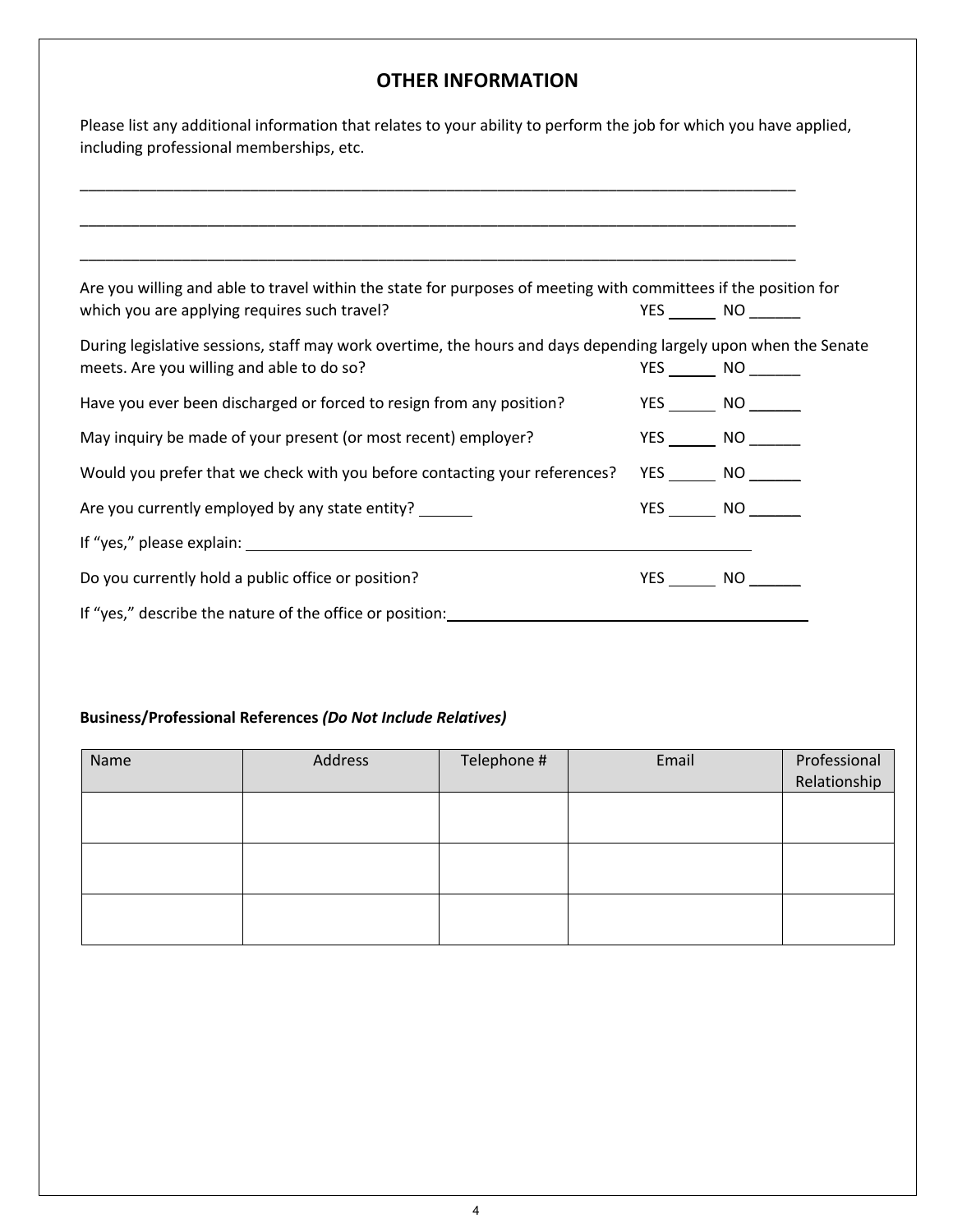## **OTHER INFORMATION**

| Please list any additional information that relates to your ability to perform the job for which you have applied, |
|--------------------------------------------------------------------------------------------------------------------|
| including professional memberships, etc.                                                                           |

| Are you willing and able to travel within the state for purposes of meeting with committees if the position for |             |
|-----------------------------------------------------------------------------------------------------------------|-------------|
| which you are applying requires such travel?                                                                    | YES NO      |
| During legislative sessions, staff may work overtime, the hours and days depending largely upon when the Senate |             |
| meets. Are you willing and able to do so?                                                                       | $YES$ NO NO |
| Have you ever been discharged or forced to resign from any position?                                            |             |
| May inquiry be made of your present (or most recent) employer?                                                  | YES NO      |
| Would you prefer that we check with you before contacting your references?                                      | YES NO      |
| Are you currently employed by any state entity?                                                                 | YES NO      |
|                                                                                                                 |             |
| Do you currently hold a public office or position?                                                              | YES NO      |
| If "yes," describe the nature of the office or position:                                                        |             |
|                                                                                                                 |             |

#### **Business/Professional References** *(Do Not Include Relatives)*

| Name | Address | Telephone # | Email | Professional<br>Relationship |
|------|---------|-------------|-------|------------------------------|
|      |         |             |       |                              |
|      |         |             |       |                              |
|      |         |             |       |                              |
|      |         |             |       |                              |